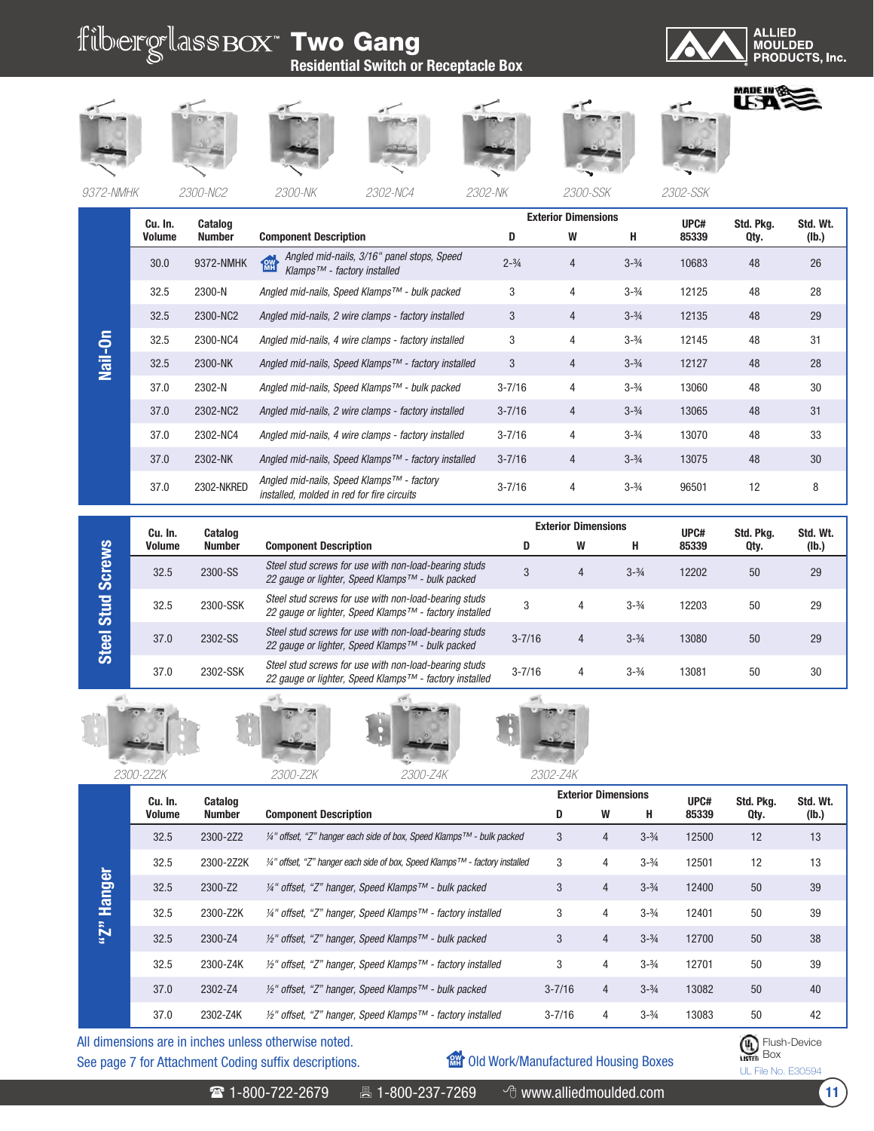

*9372-NMHK 2300-NC2 2300-NK 2302-NC4 2302-NK 2300-SSK 2302-SSK*

|                | Cu. In. | Catalog       |                                                                                                     |                   | <b>Exterior Dimensions</b> |                   | UPC#  | Std. Pkg. | Std. Wt. |
|----------------|---------|---------------|-----------------------------------------------------------------------------------------------------|-------------------|----------------------------|-------------------|-------|-----------|----------|
|                | Volume  | <b>Number</b> | <b>Component Description</b>                                                                        |                   | W                          | н                 | 85339 | Qty.      | (lb.)    |
|                | 30.0    | 9372-NMHK     | Angled mid-nails, 3/16" panel stops, Speed<br><b>RW</b><br>Klamps <sup>™</sup> - factory installed  | $2 - \frac{3}{4}$ | $\overline{4}$             | $3 - \frac{3}{4}$ | 10683 | 48        | 26       |
|                | 32.5    | 2300-N        | Angled mid-nails, Speed Klamps™ - bulk packed                                                       | 3                 | $\overline{4}$             | $3 - \frac{3}{4}$ | 12125 | 48        | 28       |
|                | 32.5    | 2300-NC2      | Angled mid-nails, 2 wire clamps - factory installed                                                 | 3                 | 4                          | $3 - \frac{3}{4}$ | 12135 | 48        | 29       |
| $\overline{5}$ | 32.5    | 2300-NC4      | Angled mid-nails, 4 wire clamps - factory installed                                                 | 3                 | 4                          | $3 - \frac{3}{4}$ | 12145 | 48        | 31       |
| <u>nail</u>    | 32.5    | 2300-NK       | Angled mid-nails, Speed Klamps™ - factory installed                                                 | 3                 | $\overline{4}$             | $3 - \frac{3}{4}$ | 12127 | 48        | 28       |
|                | 37.0    | 2302-N        | Angled mid-nails, Speed Klamps™ - bulk packed                                                       | $3 - 7/16$        | 4                          | $3 - \frac{3}{4}$ | 13060 | 48        | 30       |
|                | 37.0    | 2302-NC2      | Angled mid-nails, 2 wire clamps - factory installed                                                 | $3 - 7/16$        | 4                          | $3 - \frac{3}{4}$ | 13065 | 48        | 31       |
|                | 37.0    | 2302-NC4      | Angled mid-nails, 4 wire clamps - factory installed                                                 | $3 - 7/16$        | 4                          | $3 - \frac{3}{4}$ | 13070 | 48        | 33       |
|                | 37.0    | 2302-NK       | Angled mid-nails, Speed Klamps™ - factory installed                                                 | $3 - 7/16$        | 4                          | $3 - \frac{3}{4}$ | 13075 | 48        | 30       |
|                | 37.0    | 2302-NKRED    | Angled mid-nails, Speed Klamps <sup>™</sup> - factory<br>installed, molded in red for fire circuits | $3 - 7/16$        | 4                          | $3 - \frac{3}{4}$ | 96501 | 12        | 8        |

|               | Cu. In.       | Catalog       |                                                                                                                 |            | <b>Exterior Dimensions</b> |                   | UPC#  | Std. Pka. | Std. Wt. |
|---------------|---------------|---------------|-----------------------------------------------------------------------------------------------------------------|------------|----------------------------|-------------------|-------|-----------|----------|
|               | <b>Volume</b> | <b>Number</b> | <b>Component Description</b>                                                                                    | D          | W                          | н                 | 85339 | Qty.      | (lb.)    |
| <b>Screws</b> | 32.5          | 2300-SS       | Steel stud screws for use with non-load-bearing studs<br>22 gauge or lighter, Speed Klamps™ - bulk packed       | 3          | 4                          | $3 - \frac{3}{4}$ | 12202 | 50        | 29       |
| Stud          | 32.5          | 2300-SSK      | Steel stud screws for use with non-load-bearing studs<br>22 gauge or lighter, Speed Klamps™ - factory installed |            | 4                          | $3 - \frac{3}{4}$ | 12203 | 50        | 29       |
| Steel         | 37.0          | 2302-SS       | Steel stud screws for use with non-load-bearing studs<br>22 gauge or lighter, Speed Klamps™ - bulk packed       | $3 - 7/16$ | 4                          | $3 - \frac{3}{4}$ | 13080 | 50        | 29       |
|               | 37.0          | 2302-SSK      | Steel stud screws for use with non-load-bearing studs<br>22 gauge or lighter, Speed Klamps™ - factory installed | $3 - 7/16$ | 4                          | $3 - \frac{3}{4}$ | 13081 | 50        | 30       |











See page 7 for Attachment Coding suffix descriptions. All dimensions are in inches unless otherwise noted.

**MH** Old Work/Manufactured Housing Boxes